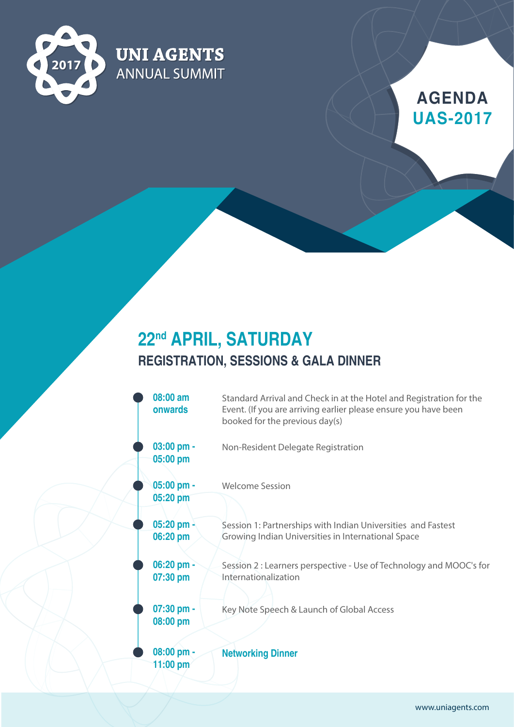

**UNI AGENTS** 

**ANNUAL SUMMIT** 

# **AGENDA UAS-2017**

### **22nd APRIL, SATURDAY REGISTRATION, SESSIONS & GALA DINNER**

| 08:00 am<br>onwards      | Standard Arrival and Check in at the Hotel and Registration for the<br>Event. (If you are arriving earlier please ensure you have been<br>booked for the previous day(s) |
|--------------------------|--------------------------------------------------------------------------------------------------------------------------------------------------------------------------|
| $03:00$ pm -<br>05:00 pm | Non-Resident Delegate Registration                                                                                                                                       |
| $05:00$ pm -<br>05:20 pm | <b>Welcome Session</b>                                                                                                                                                   |
| 05:20 pm -<br>06:20 pm   | Session 1: Partnerships with Indian Universities and Fastest<br>Growing Indian Universities in International Space                                                       |
| 06:20 pm -<br>07:30 pm   | Session 2 : Learners perspective - Use of Technology and MOOC's for<br>Internationalization                                                                              |
| 07:30 pm -<br>08:00 pm   | Key Note Speech & Launch of Global Access                                                                                                                                |
| 08:00 pm -<br>11:00 pm   | <b>Networking Dinner</b>                                                                                                                                                 |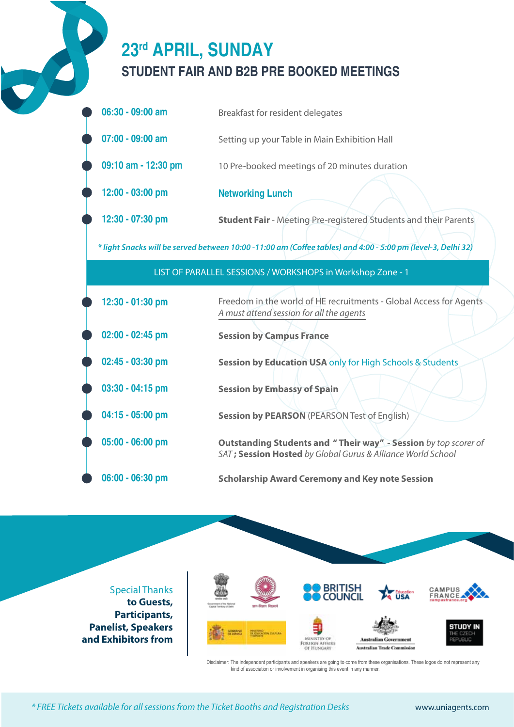# **23rd APRIL, SUNDAY STUDENT FAIR AND B2B PRE BOOKED MEETINGS**

| $06:30 - 09:00$ am | Breakfast for resident delegates              |
|--------------------|-----------------------------------------------|
| $07:00$ - 09:00 am | Setting up your Table in Main Exhibition Hall |

**09:10 am - 12:30 pm** 10 Pre-booked meetings of 20 minutes duration

**12:00 - 03:00 pm Networking Lunch**

**12:30 - 07:30 pm Student Fair** - Meeting Pre-registered Students and their Parents

*\* light Snacks will be served between 10:00 -11:00 am (Coee tables) and 4:00 - 5:00 pm (level-3, Delhi 32)* 

| LIST OF PARALLEL SESSIONS / WORKSHOPS in Workshop Zone - 1 |                                                                                                                                       |
|------------------------------------------------------------|---------------------------------------------------------------------------------------------------------------------------------------|
| 12:30 - 01:30 pm                                           | Freedom in the world of HE recruitments - Global Access for Agents<br>A must attend session for all the agents                        |
| $02:00 - 02:45$ pm                                         | <b>Session by Campus France</b>                                                                                                       |
| $02:45 - 03:30$ pm                                         | <b>Session by Education USA only for High Schools &amp; Students</b>                                                                  |
| $03:30 - 04:15$ pm                                         | <b>Session by Embassy of Spain</b>                                                                                                    |
| 04:15 - 05:00 pm                                           | <b>Session by PEARSON (PEARSON Test of English)</b>                                                                                   |
| 05:00 - 06:00 pm                                           | <b>Outstanding Students and "Their way" - Session</b> by top scorer of<br>SAT; Session Hosted by Global Gurus & Alliance World School |
| 06:00 - 06:30 pm                                           | <b>Scholarship Award Ceremony and Key note Session</b>                                                                                |

Special Thanks **to Guests, Participants, Panelist, Speakers and Exhibitors from**



Disclaimer: The independent participants and speakers are going to come from these organisations. These logos do not represent any kind of association or involvement in organising this event in any manner.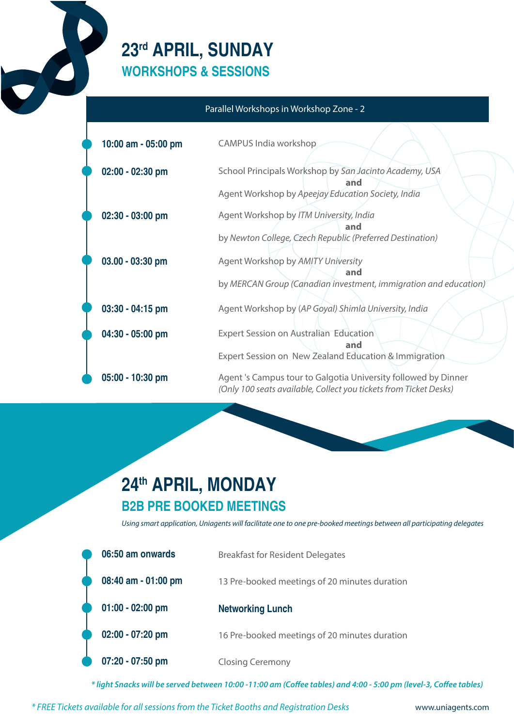### **23rd APRIL, SUNDAY WORKSHOPS & SESSIONS**

#### Parallel Workshops in Workshop Zone - 2

| 10:00 am - 05:00 pm | CAMPUS India workshop                                                                                                               |
|---------------------|-------------------------------------------------------------------------------------------------------------------------------------|
| $02:00 - 02:30$ pm  | School Principals Workshop by San Jacinto Academy, USA<br>and                                                                       |
|                     | Agent Workshop by Apeejay Education Society, India                                                                                  |
| $02:30 - 03:00$ pm  | Agent Workshop by ITM University, India<br>and                                                                                      |
|                     | by Newton College, Czech Republic (Preferred Destination)                                                                           |
| 03.00 - 03:30 pm    | Agent Workshop by AMITY University<br>and                                                                                           |
|                     | by MERCAN Group (Canadian investment, immigration and education)                                                                    |
| 03:30 - 04:15 pm    | Agent Workshop by (AP Goyal) Shimla University, India                                                                               |
| 04:30 - 05:00 pm    | Expert Session on Australian Education<br>and                                                                                       |
|                     | Expert Session on New Zealand Education & Immigration                                                                               |
| 05:00 - 10:30 pm    | Agent 's Campus tour to Galgotia University followed by Dinner<br>(Only 100 seats available, Collect you tickets from Ticket Desks) |

### **24th APRIL, MONDAY B2B PRE BOOKED MEETINGS**

*Using smart application, Uniagents will facilitate one to one pre-booked meetings between all participating delegates*

| 06:50 am onwards    | <b>Breakfast for Resident Delegates</b>       |
|---------------------|-----------------------------------------------|
| 08:40 am - 01:00 pm | 13 Pre-booked meetings of 20 minutes duration |
| $01:00 - 02:00$ pm  | <b>Networking Lunch</b>                       |
| 02:00 - 07:20 pm    | 16 Pre-booked meetings of 20 minutes duration |
| 07:20 - 07:50 pm    | <b>Closing Ceremony</b>                       |
|                     |                                               |

*\* light Snacks will be served between 10:00 -11:00 am (Coffee tables) and 4:00 - 5:00 pm (level-3, Coffee tables)* 

*\* FREE Tickets available for all sessions from the Ticket Booths and Registration Desks* www.uniagents.com